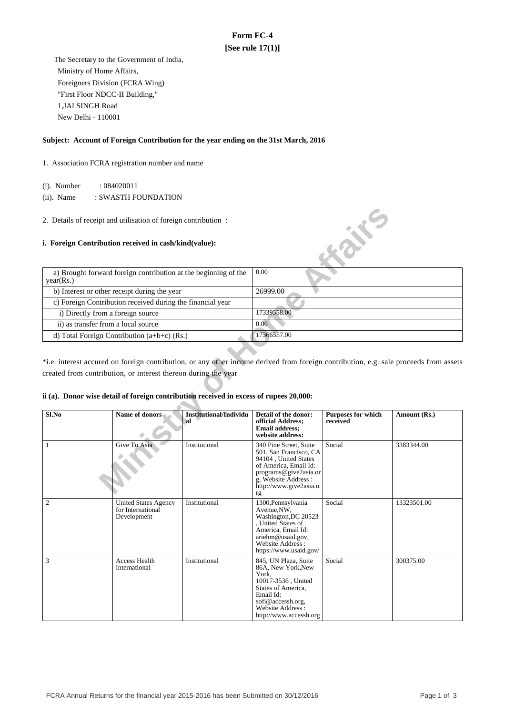### **Form FC-4 [See rule 17(1)]**

 The Secretary to the Government of India, Ministry of Home Affairs, Foreigners Division (FCRA Wing) "First Floor NDCC-II Building," 1,JAI SINGH Road New Delhi - 110001

#### **Subject: Account of Foreign Contribution for the year ending on the 31st March, 2016**

1. Association FCRA registration number and name

(i). Number : 084020011

(ii). Name : SWASTH FOUNDATION

#### **i. Foreign Contribution received in cash/kind(value):**

| a) Brought forward foreign contribution at the beginning of the<br>year(Rs.) | 0.00        |
|------------------------------------------------------------------------------|-------------|
| b) Interest or other receipt during the year                                 | 26999.00    |
| c) Foreign Contribution received during the financial year                   |             |
| i) Directly from a foreign source                                            | 17339558.00 |
| ii) as transfer from a local source                                          | 0.00        |
| d) Total Foreign Contribution $(a+b+c)$ (Rs.)                                | 17366557.00 |

#### **ii (a). Donor wise detail of foreign contribution received in excess of rupees 20,000:**

|                                     | 2. Details of receipt and utilisation of foreign contribution :                        |                                      |                                                                                                                                                                                   |                                       |                                                                                                                                       |  |  |
|-------------------------------------|----------------------------------------------------------------------------------------|--------------------------------------|-----------------------------------------------------------------------------------------------------------------------------------------------------------------------------------|---------------------------------------|---------------------------------------------------------------------------------------------------------------------------------------|--|--|
|                                     | i. Foreign Contribution received in cash/kind(value):                                  |                                      |                                                                                                                                                                                   | <b>ANY</b> E                          |                                                                                                                                       |  |  |
| year(Rs.)                           | a) Brought forward foreign contribution at the beginning of the                        |                                      | 0.00                                                                                                                                                                              |                                       |                                                                                                                                       |  |  |
|                                     | b) Interest or other receipt during the year                                           |                                      | 26999.00                                                                                                                                                                          |                                       |                                                                                                                                       |  |  |
|                                     | c) Foreign Contribution received during the financial year                             |                                      |                                                                                                                                                                                   |                                       |                                                                                                                                       |  |  |
| i) Directly from a foreign source   |                                                                                        |                                      | 17339558.00                                                                                                                                                                       |                                       |                                                                                                                                       |  |  |
| ii) as transfer from a local source |                                                                                        |                                      | 0.00                                                                                                                                                                              |                                       |                                                                                                                                       |  |  |
|                                     | d) Total Foreign Contribution (a+b+c) (Rs.)                                            |                                      | 17366557.00                                                                                                                                                                       |                                       |                                                                                                                                       |  |  |
|                                     |                                                                                        |                                      |                                                                                                                                                                                   |                                       |                                                                                                                                       |  |  |
|                                     |                                                                                        |                                      |                                                                                                                                                                                   |                                       | *i.e. interest accured on foreign contribution, or any other income derived from foreign contribution, e.g. sale proceeds from assets |  |  |
|                                     | created from contribution, or interest thereon during the year                         |                                      |                                                                                                                                                                                   |                                       |                                                                                                                                       |  |  |
|                                     |                                                                                        |                                      |                                                                                                                                                                                   |                                       |                                                                                                                                       |  |  |
|                                     | ii (a). Donor wise detail of foreign contribution received in excess of rupees 20,000: |                                      |                                                                                                                                                                                   |                                       |                                                                                                                                       |  |  |
|                                     |                                                                                        |                                      |                                                                                                                                                                                   |                                       |                                                                                                                                       |  |  |
| Sl.No                               | Name of donors                                                                         | <b>Institutional/Individu</b><br>'al | Detail of the donor:<br>official Address;<br><b>Email address;</b><br>website address:                                                                                            | <b>Purposes for which</b><br>received | Amount (Rs.)                                                                                                                          |  |  |
| 1                                   | Give To Asia                                                                           | Institutional                        | 340 Pine Street, Suite<br>501, San Francisco, CA<br>94104, United States<br>of America, Email Id:<br>programs@give2asia.or<br>g, Website Address:<br>http://www.give2asia.o<br>rg | Social                                | 3383344.00                                                                                                                            |  |  |
| $\overline{2}$                      | <b>United States Agency</b><br>for International<br>Development                        | Institutional                        | 1300, Pennsylvania<br>Avenue, NW,<br>Washington, DC 20523<br>, United States of<br>America, Email Id:<br>ariehm@usaid.gov,<br>Website Address:<br>https://www.usaid.gov/          | Social                                | 13323501.00                                                                                                                           |  |  |
| 3                                   | Access Health<br>International                                                         | Institutional                        | 845, UN Plaza, Suite<br>86A, New York, New<br>York,<br>10017-3536, United<br>States of America,<br>Email Id:<br>sofi@accessh.org,<br>Website Address:<br>http://www.accessh.org   | Social                                | 300375.00                                                                                                                             |  |  |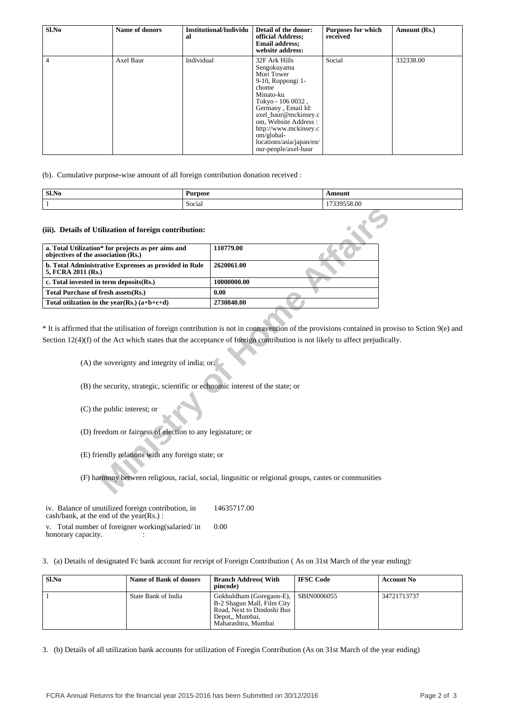| Sl.No | Name of donors | Institutional/Individu<br>al | Detail of the donor:<br>official Address;<br><b>Email address:</b><br>website address:                                                                                                                                                                                          | <b>Purposes for which</b><br>received | Amount (Rs.) |
|-------|----------------|------------------------------|---------------------------------------------------------------------------------------------------------------------------------------------------------------------------------------------------------------------------------------------------------------------------------|---------------------------------------|--------------|
| 4     | Axel Baur      | Individual                   | 32F Ark Hills<br>Sengokuyama<br>Mori Tower<br>9-10, Roppongi 1-<br>chome<br>Minato-ku<br>Tokyo - $1060032$ ,<br>Germany, Email Id:<br>axel baur@mckinsey.c<br>om, Website Address:<br>http://www.mckinsey.c<br>$om/global-$<br>locations/asia/japan/en/<br>our-people/axel-baur | Social                                | 332338.00    |

(b). Cumulative purpose-wise amount of all foreign contribution donation received :

| Sl.No | Purpose | `moun.      |
|-------|---------|-------------|
|       | Social  | $\sim$<br>. |

| 110779.00                                                                                                                                                                                                                                                                                                                                                                                                                                                                                                                                                                                                             |
|-----------------------------------------------------------------------------------------------------------------------------------------------------------------------------------------------------------------------------------------------------------------------------------------------------------------------------------------------------------------------------------------------------------------------------------------------------------------------------------------------------------------------------------------------------------------------------------------------------------------------|
| 2620061.00                                                                                                                                                                                                                                                                                                                                                                                                                                                                                                                                                                                                            |
| 10000000.00                                                                                                                                                                                                                                                                                                                                                                                                                                                                                                                                                                                                           |
| 0.00                                                                                                                                                                                                                                                                                                                                                                                                                                                                                                                                                                                                                  |
| 2730840.00                                                                                                                                                                                                                                                                                                                                                                                                                                                                                                                                                                                                            |
| * It is affirmed that the utilisation of foreign contribution is not in contravention of the provisions contained in prov<br>Section $12(4)(f)$ of the Act which states that the acceptance of foreign contribution is not likely to affect prejudicall<br>(A) the soverignty and integrity of india; or.<br>(B) the security, strategic, scientific or echnomic interest of the state; or<br>(D) freedom or fairness of election to any legistature; or<br>(E) friendly relations with any foreign state; or<br>(F) harmony between religious, racial, social, lingusitic or relgional groups, castes or communities |
|                                                                                                                                                                                                                                                                                                                                                                                                                                                                                                                                                                                                                       |

\* It is affirmed that the utilisation of foreign contribution is not in contravention of the provisions contained in proviso to Sction 9(e) and Section 12(4)(f) of the Act which states that the acceptance of foreign contribution is not likely to affect prejudically.

iv. Balance of unutilized foreign contribution, in cash/bank, at the end of the year(Rs.) : 14635717.00

v. Total number of foreigner working(salaried/ in honorary capacity.  $\qquad \qquad$  : 0.00

3. (a) Details of designated Fc bank account for receipt of Foreign Contribution ( As on 31st March of the year ending):

| Sl.No | <b>Name of Bank of donors</b> | <b>Branch Address</b> (With<br>pincode)                                                                                        | <b>IFSC Code</b> | <b>Account No</b> |
|-------|-------------------------------|--------------------------------------------------------------------------------------------------------------------------------|------------------|-------------------|
|       | State Bank of India           | Gokhuldham (Goregaon-E),<br>B-2 Shagun Mall, Film City<br>Road, Next to Dindoshi Bus<br>Depot., Mumbai,<br>Maharashtra, Mumbai | SBIN0006055      | 34721713737       |

3. (b) Details of all utilization bank accounts for utilization of Foregin Contribution (As on 31st March of the year ending)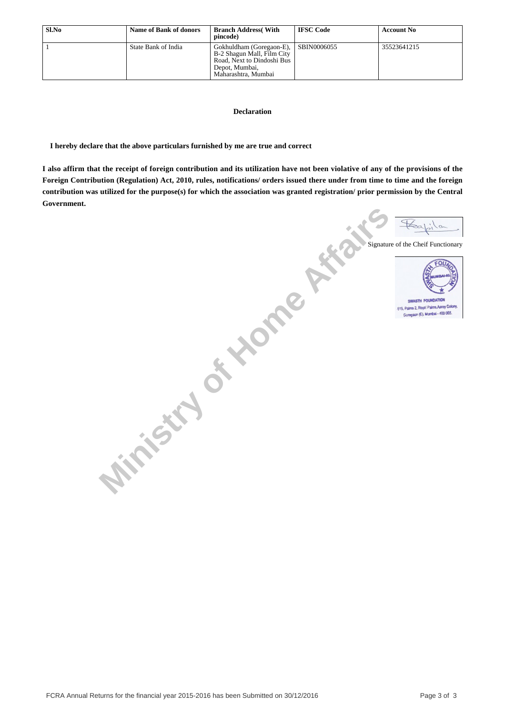| Sl.No | <b>Name of Bank of donors</b> | <b>Branch Address</b> (With<br>pincode)                                                                                       | <b>IFSC Code</b> | <b>Account No</b> |
|-------|-------------------------------|-------------------------------------------------------------------------------------------------------------------------------|------------------|-------------------|
|       | State Bank of India           | Gokhuldham (Goregaon-E),<br>B-2 Shagun Mall, Film City<br>Road, Next to Dindoshi Bus<br>Depot, Mumbai,<br>Maharashtra, Mumbai | SBIN0006055      | 35523641215       |

#### **Declaration**

 **I hereby declare that the above particulars furnished by me are true and correct**

**I also affirm that the receipt of foreign contribution and its utilization have not been violative of any of the provisions of the Foreign Contribution (Regulation) Act, 2010, rules, notifications/ orders issued there under from time to time and the foreign contribution was utilized for the purpose(s) for which the association was granted registration/ prior permission by the Central Government.**

**Ministry of Home Affairs** Signature of the Cheif Functionary **SWASTH FOUNDATION** Goregaan (E), Mumbai - 400 065.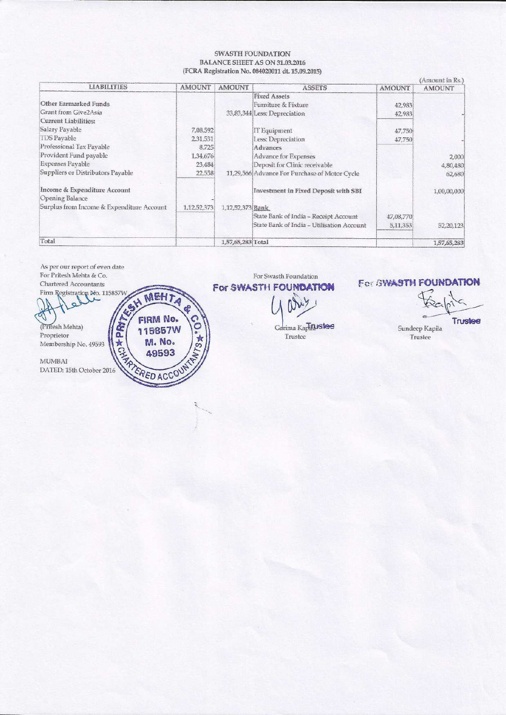#### SWASTH FOUNDATION **BALANCE SHEET AS ON 31.03.2016** (FCRA Registration No. 084020011 dt. 15.09.2015)

| <b>LIABILITIES</b>                                     | <b>AMOUNT</b> |                   |                                               |               | Amount in Ks.) |
|--------------------------------------------------------|---------------|-------------------|-----------------------------------------------|---------------|----------------|
|                                                        |               | <b>AMOUNT</b>     | <b>ASSETS</b>                                 | <b>AMOUNT</b> | <b>AMOUNT</b>  |
|                                                        |               |                   | <b>Fixed Assets</b>                           |               |                |
| Other Earmarked Funds                                  |               |                   | Furniture & Fixture                           | 42,983        |                |
| Grant from Give2Asia                                   |               |                   | 33,83,344 Less: Depreciation                  | 42,983        |                |
| Current Liabilities:                                   |               |                   |                                               |               |                |
| Salary Payable                                         | 7,08,592      |                   | IT Equipment                                  | 47,750        |                |
| <b>TDS</b> Payable                                     | 2,31,531      |                   | Less: Depreciation                            | 47,750        |                |
| Professional Tax Payable                               | 8,725         |                   | Advances                                      |               |                |
| Provident Fund payable                                 | 1,34,676      |                   | Advance for Expenses                          |               | 2,000          |
| Expenses Payable                                       | 23,484        |                   | Deposit for Clinic receivable                 |               | 4,80,480       |
| Suppliers or Distributors Payable                      | 22,558        |                   | 11,29,566 Advance For Purchase of Motor Cycle |               | 62,680         |
| Income & Expenditure Account<br><b>Opening Balance</b> |               |                   | Investment in Fixed Deposit with SBI          |               | 1,00,00,000    |
| Surplus from Income & Expenditure Account              | 1.12.52.373   | 1,12,52,373 Bank  |                                               |               |                |
|                                                        |               |                   | State Bank of India - Receipt Account         | 47,08,770     |                |
|                                                        |               |                   | State Bank of India - Utilisation Account     | 5,11,353      | 52,20,123      |
| Total                                                  |               | 1,57,65,283 Total |                                               |               | 1,57,65,283    |

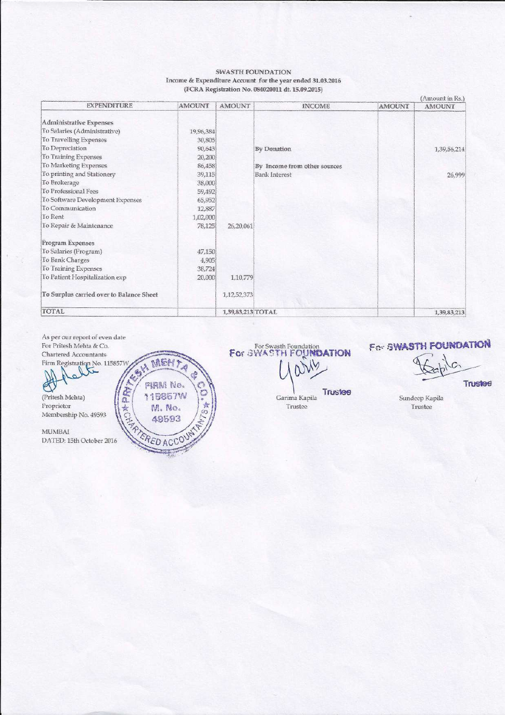#### **SWASTH FOUNDATION** Income & Expenditure Account for the year ended 31.03.2016 (FCRA Registration No. 084020011 dt. 15.09.2015)

| <b>EXPENDITURE</b>                       | <b>AMOUNT</b> | <b>AMOUNT</b>     | <b>INCOME</b>                | <b>AMOUNT</b> | (Amount in Rs.)<br><b>AMOUNT</b> |
|------------------------------------------|---------------|-------------------|------------------------------|---------------|----------------------------------|
|                                          |               |                   |                              |               |                                  |
| Administrative Expenses                  |               |                   |                              |               |                                  |
| To Salaries (Administrative)             | 19,96,384     |                   |                              |               |                                  |
| To Travelling Expenses                   | 30,805        |                   |                              |               |                                  |
| To Depreciation                          | 90.643        |                   | <b>By Donation</b>           |               | 1,39,56,214                      |
| To Training Expenses                     | 20,200        |                   |                              |               |                                  |
| To Marketing Expenses                    | 86,458        |                   | By Income from other sources |               |                                  |
| To printing and Stationery               | 39,115        |                   | <b>Bank Interest</b>         |               | 26,999                           |
| To Brokerage                             | 38,000        |                   |                              |               |                                  |
| To Professional Fees                     | 59,492        |                   |                              |               |                                  |
| To Software Development Expenses         | 65,952        |                   |                              |               |                                  |
| To Communication                         | 12,887        |                   |                              |               |                                  |
| To Rent                                  | 1,02,000      |                   |                              |               |                                  |
| To Repair & Maintenance                  | 78,125        | 26,20,061         |                              |               |                                  |
| Program Expenses                         |               |                   |                              |               |                                  |
| To Salaries (Program)                    | 47,150        |                   |                              |               |                                  |
| To Bank Charges                          | 4,905         |                   |                              |               |                                  |
| To Training Expenses                     | 38,724        |                   |                              |               |                                  |
| To Patient Hospitalization exp           | 20,000        | 1,10,779          |                              |               |                                  |
| To Surplus carried over to Balance Sheet |               | 1,12,52,373       |                              |               |                                  |
| TOTAL                                    |               | 1,39,83,213 TOTAL |                              |               | 1,39,83,213                      |

As per our report of even date For Pritesh Mehta & Co. FEN MEH? Chartered Accountants Firm Registration No. 115857V Á AREA MILLED AGED VE (Pritesh Mehta) Proprietor Membership No. 49593  $MUMBAI$ DATED: 15th October 2016

For Swasth Foundation<br>For SWASTH FOUNDATION

# For SWASTH FOUNDATION

Trustee

Trustee Garima Kapila Trustee

Sundeep Kapila Trustee